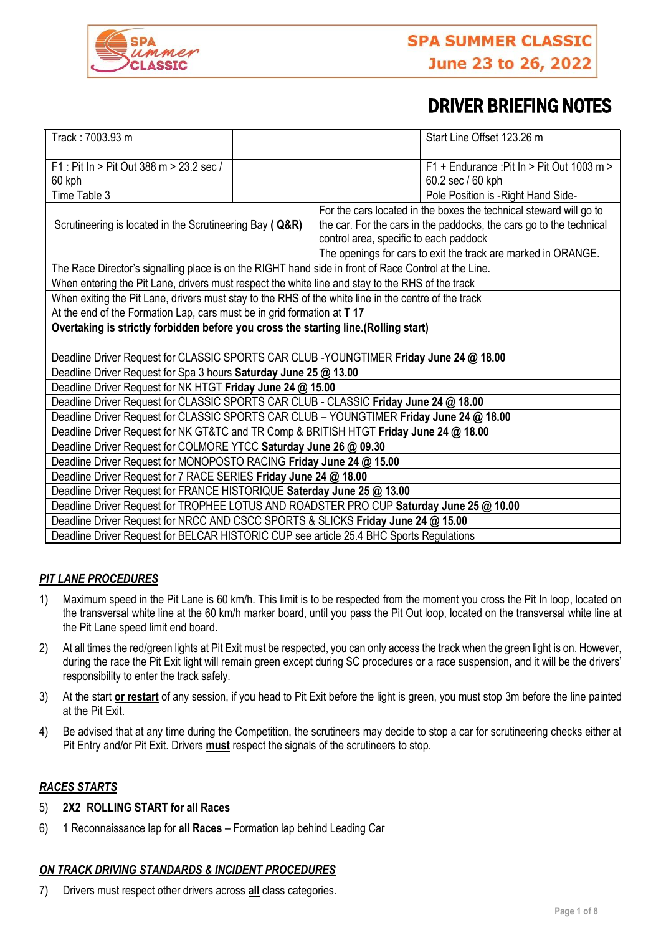

# DRIVER BRIEFING NOTES

| Track: 7003.93 m                                                                                     |  | Start Line Offset 123.26 m                                          |
|------------------------------------------------------------------------------------------------------|--|---------------------------------------------------------------------|
|                                                                                                      |  |                                                                     |
| F1: Pit In > Pit Out 388 m > 23.2 sec /                                                              |  | $F1 +$ Endurance: Pit In > Pit Out 1003 m >                         |
| 60 kph                                                                                               |  | 60.2 sec / 60 kph                                                   |
| Time Table 3                                                                                         |  | Pole Position is -Right Hand Side-                                  |
| Scrutineering is located in the Scrutineering Bay ( Q&R)                                             |  | For the cars located in the boxes the technical steward will go to  |
|                                                                                                      |  | the car. For the cars in the paddocks, the cars go to the technical |
|                                                                                                      |  | control area, specific to each paddock                              |
|                                                                                                      |  | The openings for cars to exit the track are marked in ORANGE.       |
| The Race Director's signalling place is on the RIGHT hand side in front of Race Control at the Line. |  |                                                                     |
| When entering the Pit Lane, drivers must respect the white line and stay to the RHS of the track     |  |                                                                     |
| When exiting the Pit Lane, drivers must stay to the RHS of the white line in the centre of the track |  |                                                                     |
| At the end of the Formation Lap, cars must be in grid formation at T 17                              |  |                                                                     |
| Overtaking is strictly forbidden before you cross the starting line.(Rolling start)                  |  |                                                                     |
|                                                                                                      |  |                                                                     |
| Deadline Driver Request for CLASSIC SPORTS CAR CLUB -YOUNGTIMER Friday June 24 @ 18.00               |  |                                                                     |
| Deadline Driver Request for Spa 3 hours Saturday June 25 @ 13.00                                     |  |                                                                     |
| Deadline Driver Request for NK HTGT Friday June 24 @ 15.00                                           |  |                                                                     |
| Deadline Driver Request for CLASSIC SPORTS CAR CLUB - CLASSIC Friday June 24 @ 18.00                 |  |                                                                     |
| Deadline Driver Request for CLASSIC SPORTS CAR CLUB - YOUNGTIMER Friday June 24 @ 18.00              |  |                                                                     |
| Deadline Driver Request for NK GT&TC and TR Comp & BRITISH HTGT Friday June 24 @ 18.00               |  |                                                                     |
| Deadline Driver Request for COLMORE YTCC Saturday June 26 @ 09.30                                    |  |                                                                     |
| Deadline Driver Request for MONOPOSTO RACING Friday June 24 @ 15.00                                  |  |                                                                     |
| Deadline Driver Request for 7 RACE SERIES Friday June 24 @ 18.00                                     |  |                                                                     |
| Deadline Driver Request for FRANCE HISTORIQUE Saterday June 25 @ 13.00                               |  |                                                                     |
| Deadline Driver Request for TROPHEE LOTUS AND ROADSTER PRO CUP Saturday June 25 @ 10.00              |  |                                                                     |
| Deadline Driver Request for NRCC AND CSCC SPORTS & SLICKS Friday June 24 @ 15.00                     |  |                                                                     |
| Deadline Driver Request for BELCAR HISTORIC CUP see article 25.4 BHC Sports Regulations              |  |                                                                     |

## *PIT LANE PROCEDURES*

- 1) Maximum speed in the Pit Lane is 60 km/h. This limit is to be respected from the moment you cross the Pit In loop, located on the transversal white line at the 60 km/h marker board, until you pass the Pit Out loop, located on the transversal white line at the Pit Lane speed limit end board.
- 2) At all times the red/green lights at Pit Exit must be respected, you can only access the track when the green light is on. However, during the race the Pit Exit light will remain green except during SC procedures or a race suspension, and it will be the drivers' responsibility to enter the track safely.
- 3) At the start **or restart** of any session, if you head to Pit Exit before the light is green, you must stop 3m before the line painted at the Pit Exit.
- 4) Be advised that at any time during the Competition, the scrutineers may decide to stop a car for scrutineering checks either at Pit Entry and/or Pit Exit. Drivers **must** respect the signals of the scrutineers to stop.

## *RACES STARTS*

#### 5) **2X2 ROLLING START for all Races**

6) 1 Reconnaissance lap for **all Races** – Formation lap behind Leading Car

## *ON TRACK DRIVING STANDARDS & INCIDENT PROCEDURES*

7) Drivers must respect other drivers across **all** class categories.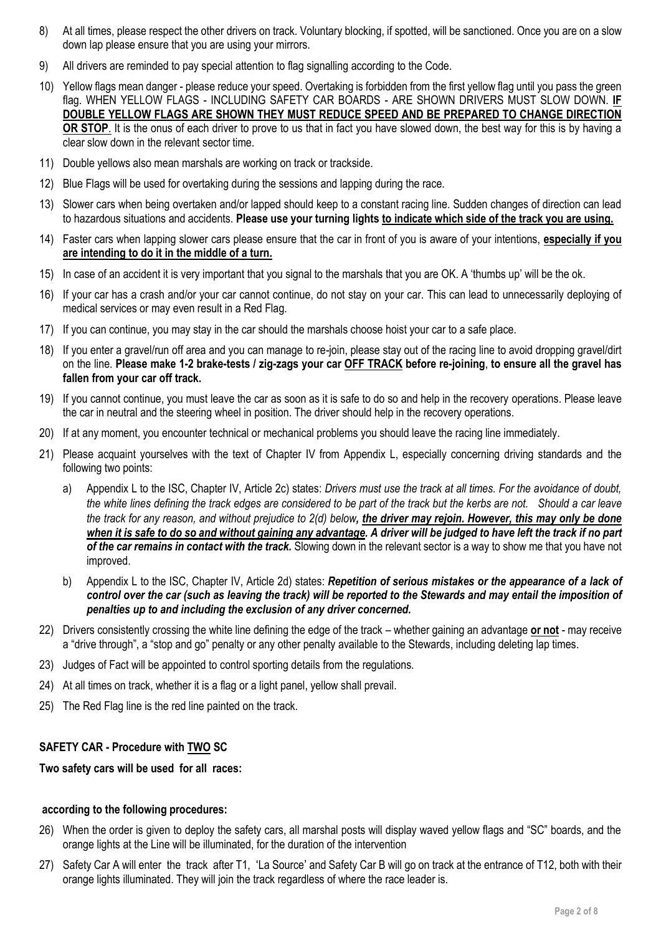- 8) At all times, please respect the other drivers on track. Voluntary blocking, if spotted, will be sanctioned. Once you are on a slow down lap please ensure that you are using your mirrors.
- 9) All drivers are reminded to pay special attention to flag signalling according to the Code.
- 10) Yellow flags mean danger please reduce your speed. Overtaking is forbidden from the first yellow flag until you pass the green flag. WHEN YELLOW FLAGS - INCLUDING SAFETY CAR BOARDS - ARE SHOWN DRIVERS MUST SLOW DOWN. **IF DOUBLE YELLOW FLAGS ARE SHOWN THEY MUST REDUCE SPEED AND BE PREPARED TO CHANGE DIRECTION OR STOP**. It is the onus of each driver to prove to us that in fact you have slowed down, the best way for this is by having a clear slow down in the relevant sector time.
- 11) Double yellows also mean marshals are working on track or trackside.
- 12) Blue Flags will be used for overtaking during the sessions and lapping during the race.
- 13) Slower cars when being overtaken and/or lapped should keep to a constant racing line. Sudden changes of direction can lead to hazardous situations and accidents. **Please use your turning lights to indicate which side of the track you are using.**
- 14) Faster cars when lapping slower cars please ensure that the car in front of you is aware of your intentions, **especially if you are intending to do it in the middle of a turn.**
- 15) In case of an accident it is very important that you signal to the marshals that you are OK. A 'thumbs up' will be the ok.
- 16) If your car has a crash and/or your car cannot continue, do not stay on your car. This can lead to unnecessarily deploying of medical services or may even result in a Red Flag.
- 17) If you can continue, you may stay in the car should the marshals choose hoist your car to a safe place.
- 18) If you enter a gravel/run off area and you can manage to re-join, please stay out of the racing line to avoid dropping gravel/dirt on the line. **Please make 1-2 brake-tests / zig-zags your car OFF TRACK before re-joining**, **to ensure all the gravel has fallen from your car off track.**
- 19) If you cannot continue, you must leave the car as soon as it is safe to do so and help in the recovery operations. Please leave the car in neutral and the steering wheel in position. The driver should help in the recovery operations.
- 20) If at any moment, you encounter technical or mechanical problems you should leave the racing line immediately.
- 21) Please acquaint yourselves with the text of Chapter IV from Appendix L, especially concerning driving standards and the following two points:
	- a) Appendix L to the ISC, Chapter IV, Article 2c) states: *Drivers must use the track at all times. For the avoidance of doubt, the white lines defining the track edges are considered to be part of the track but the kerbs are not. Should a car leave the track for any reason, and without prejudice to 2(d) below, the driver may rejoin. However, this may only be done when it is safe to do so and without gaining any advantage. A driver will be judged to have left the track if no part of the car remains in contact with the track.* Slowing down in the relevant sector is a way to show me that you have not improved.
	- b) Appendix L to the ISC, Chapter IV, Article 2d) states: *Repetition of serious mistakes or the appearance of a lack of control over the car (such as leaving the track) will be reported to the Stewards and may entail the imposition of penalties up to and including the exclusion of any driver concerned.*
- 22) Drivers consistently crossing the white line defining the edge of the track whether gaining an advantage **or not** may receive a "drive through", a "stop and go" penalty or any other penalty available to the Stewards, including deleting lap times.
- 23) Judges of Fact will be appointed to control sporting details from the regulations.
- 24) At all times on track, whether it is a flag or a light panel, yellow shall prevail.
- 25) The Red Flag line is the red line painted on the track.

## **SAFETY CAR - Procedure with TWO SC**

## **Two safety cars will be used for all races:**

#### **according to the following procedures:**

- 26) When the order is given to deploy the safety cars, all marshal posts will display waved yellow flags and "SC" boards, and the orange lights at the Line will be illuminated, for the duration of the intervention
- 27) Safety Car A will enter the track after T1, ʻLa Source' and Safety Car B will go on track at the entrance of T12, both with their orange lights illuminated. They will join the track regardless of where the race leader is.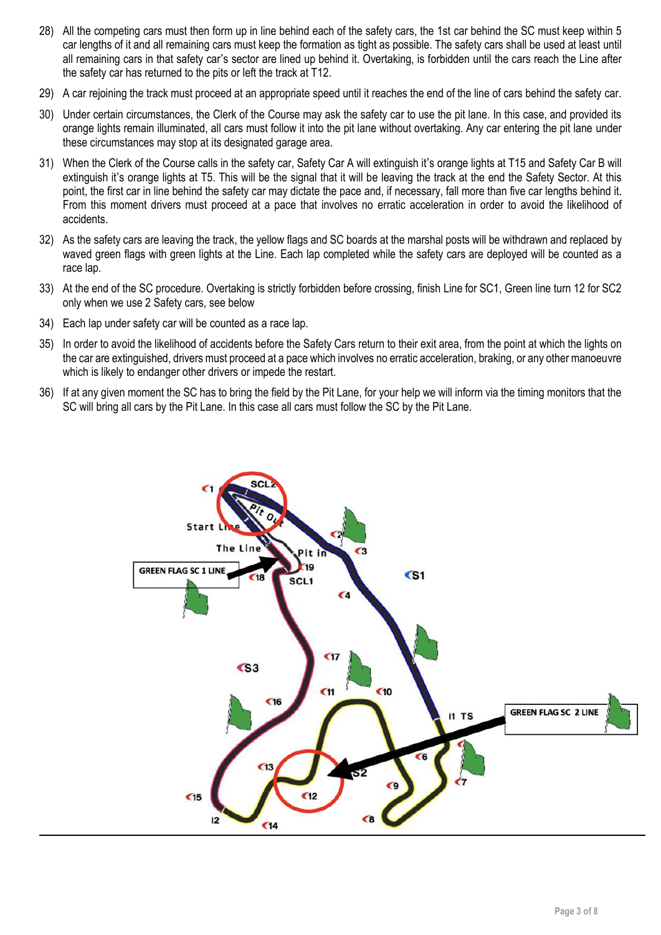- 28) All the competing cars must then form up in line behind each of the safety cars, the 1st car behind the SC must keep within 5 car lengths of it and all remaining cars must keep the formation as tight as possible. The safety cars shall be used at least until all remaining cars in that safety car's sector are lined up behind it. Overtaking, is forbidden until the cars reach the Line after the safety car has returned to the pits or left the track at T12.
- 29) A car rejoining the track must proceed at an appropriate speed until it reaches the end of the line of cars behind the safety car.
- 30) Under certain circumstances, the Clerk of the Course may ask the safety car to use the pit lane. In this case, and provided its orange lights remain illuminated, all cars must follow it into the pit lane without overtaking. Any car entering the pit lane under these circumstances may stop at its designated garage area.
- 31) When the Clerk of the Course calls in the safety car, Safety Car A will extinguish it's orange lights at T15 and Safety Car B will extinguish it's orange lights at T5. This will be the signal that it will be leaving the track at the end the Safety Sector. At this point, the first car in line behind the safety car may dictate the pace and, if necessary, fall more than five car lengths behind it. From this moment drivers must proceed at a pace that involves no erratic acceleration in order to avoid the likelihood of accidents.
- 32) As the safety cars are leaving the track, the yellow flags and SC boards at the marshal posts will be withdrawn and replaced by waved green flags with green lights at the Line. Each lap completed while the safety cars are deployed will be counted as a race lap.
- 33) At the end of the SC procedure. Overtaking is strictly forbidden before crossing, finish Line for SC1, Green line turn 12 for SC2 only when we use 2 Safety cars, see below
- 34) Each lap under safety car will be counted as a race lap.
- 35) In order to avoid the likelihood of accidents before the Safety Cars return to their exit area, from the point at which the lights on the car are extinguished, drivers must proceed at a pace which involves no erratic acceleration, braking, or any other manoeuvre which is likely to endanger other drivers or impede the restart.
- 36) If at any given moment the SC has to bring the field by the Pit Lane, for your help we will inform via the timing monitors that the SC will bring all cars by the Pit Lane. In this case all cars must follow the SC by the Pit Lane.

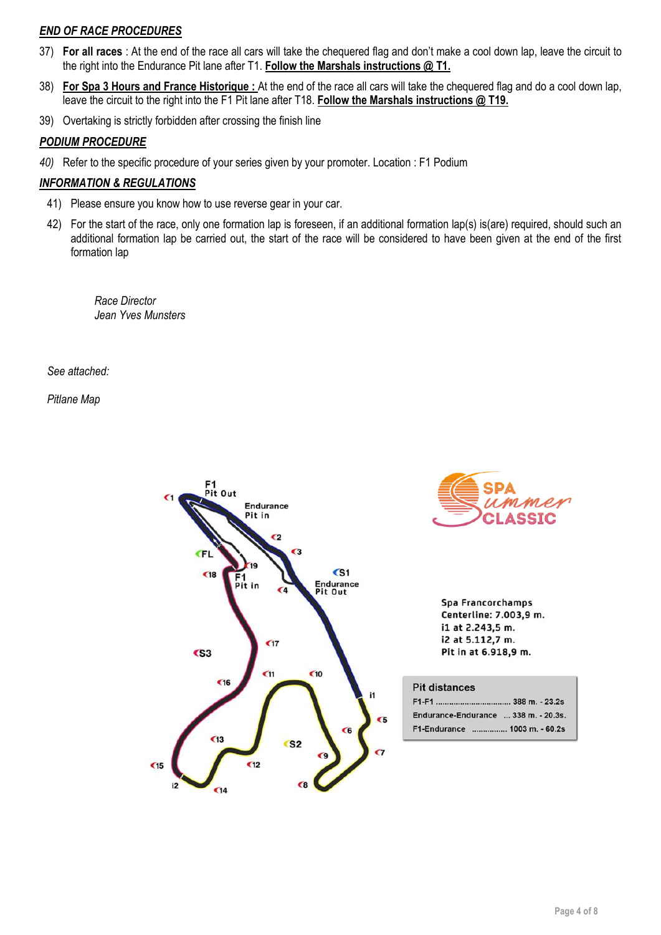## *END OF RACE PROCEDURES*

- 37) **For all races** : At the end of the race all cars will take the chequered flag and don't make a cool down lap, leave the circuit to the right into the Endurance Pit lane after T1. **Follow the Marshals instructions @ T1.**
- 38) **For Spa 3 Hours and France Historique :** At the end of the race all cars will take the chequered flag and do a cool down lap, leave the circuit to the right into the F1 Pit lane after T18. **Follow the Marshals instructions @ T19.**
- 39) Overtaking is strictly forbidden after crossing the finish line

## *PODIUM PROCEDURE*

*40)* Refer to the specific procedure of your series given by your promoter. Location : F1 Podium

## *INFORMATION & REGULATIONS*

- 41) Please ensure you know how to use reverse gear in your car.
- 42) For the start of the race, only one formation lap is foreseen, if an additional formation lap(s) is(are) required, should such an additional formation lap be carried out, the start of the race will be considered to have been given at the end of the first formation lap

*Race Director Jean Yves Munsters*

*See attached:* 

*Pitlane Map*

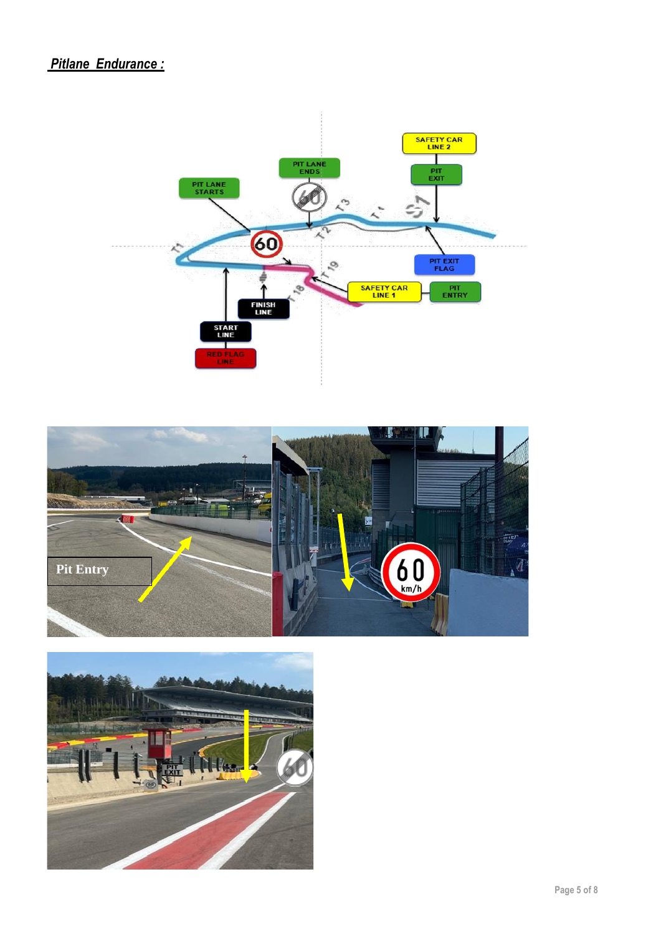## *Pitlane Endurance :*





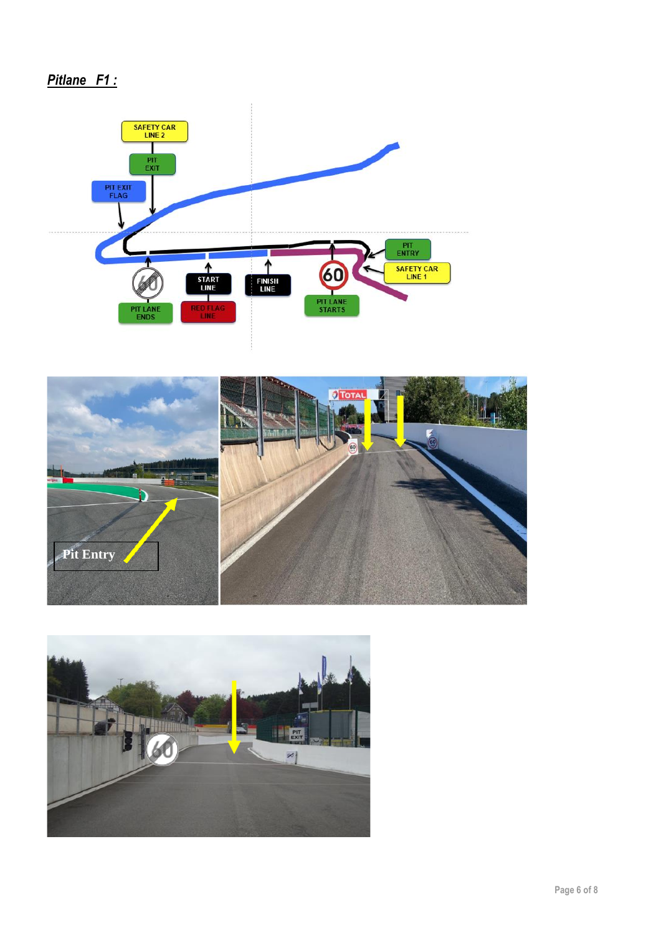# *Pitlane F1 :*





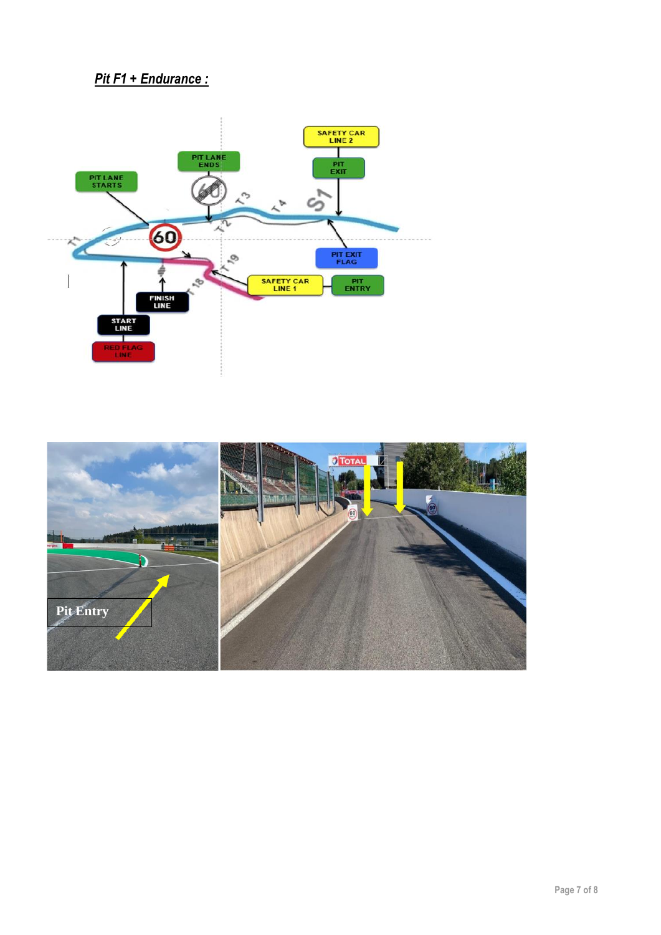## *Pit F1 + Endurance :*